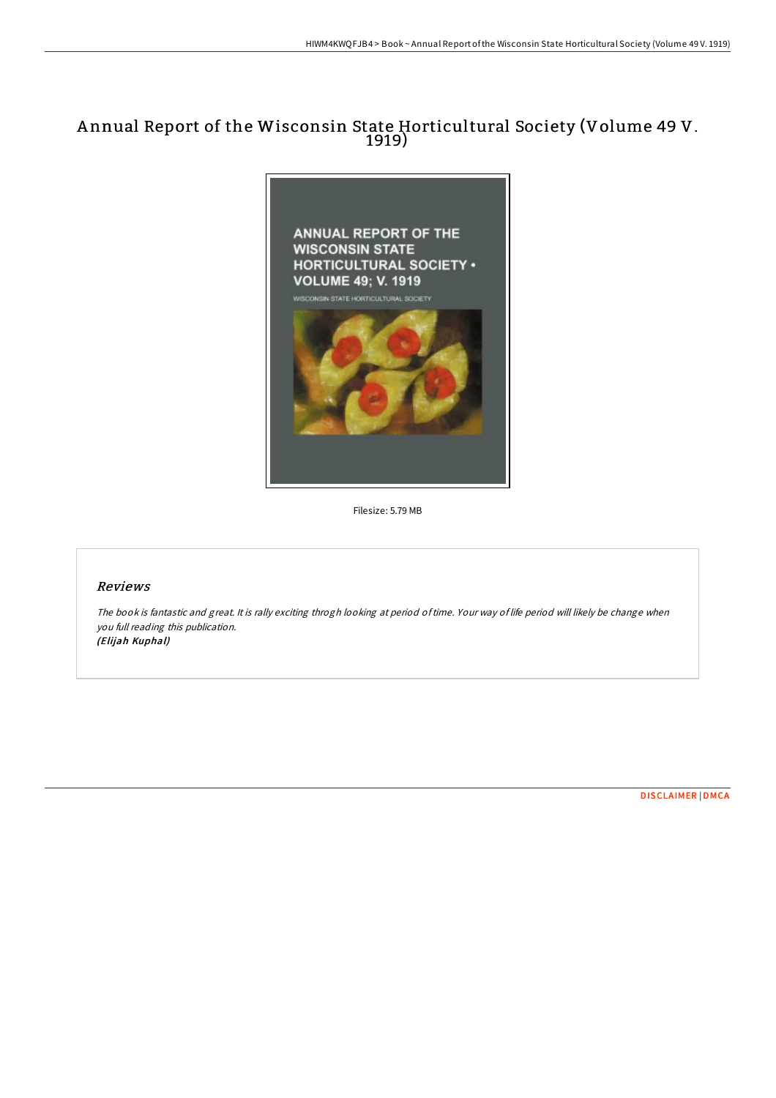# A nnual Report of the Wisconsin State Horticultural Society (Volume 49 V. 1919)



Filesize: 5.79 MB

## Reviews

The book is fantastic and great. It is rally exciting throgh looking at period oftime. Your way of life period will likely be change when you full reading this publication. (Elijah Kuphal)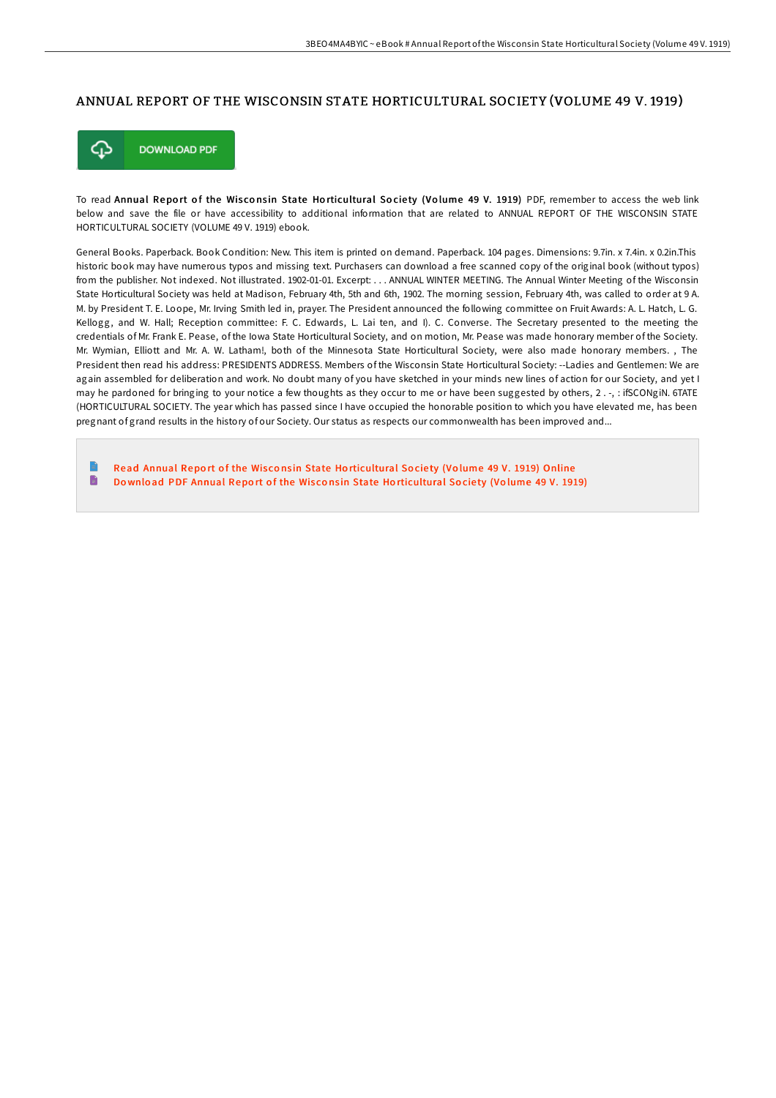### ANNUAL REPORT OF THE WISCONSIN STATE HORTICULTURAL SOCIETY (VOLUME 49 V. 1919)



To read Annual Report of the Wisconsin State Horticultural Society (Volume 49 V. 1919) PDF, remember to access the web link below and save the file or have accessibility to additional information that are related to ANNUAL REPORT OF THE WISCONSIN STATE HORTICULTURAL SOCIETY (VOLUME 49 V. 1919) ebook.

General Books. Paperback. Book Condition: New. This item is printed on demand. Paperback. 104 pages. Dimensions: 9.7in. x 7.4in. x 0.2in.This historic book may have numerous typos and missing text. Purchasers can download a free scanned copy of the original book (without typos) from the publisher. Not indexed. Not illustrated. 1902-01-01. Excerpt: . . . ANNUAL WINTER MEETING. The Annual Winter Meeting of the Wisconsin State Horticultural Society was held at Madison, February 4th, 5th and 6th, 1902. The morning session, February 4th, was called to order at 9 A. M. by President T. E. Loope, Mr. Irving Smith led in, prayer. The President announced the following committee on Fruit Awards: A. L. Hatch, L. G. Kellogg, and W. Hall; Reception committee: F. C. Edwards, L. Lai ten, and I). C. Converse. The Secretary presented to the meeting the credentials of Mr. Frank E. Pease, of the Iowa State Horticultural Society, and on motion, Mr. Pease was made honorary member of the Society. Mr. Wymian, Elliott and Mr. A. W. Latham!, both of the Minnesota State Horticultural Society, were also made honorary members. , The President then read his address: PRESIDENTS ADDRESS. Members of the Wisconsin State Horticultural Society: --Ladies and Gentlemen: We are again assembled for deliberation and work. No doubt many of you have sketched in your minds new lines of action for our Society, and yet I may he pardoned for bringing to your notice a few thoughts as they occur to me or have been suggested by others, 2 . -, : ifSCONgiN. 6TATE (HORTICULTURAL SOCIETY. The year which has passed since I have occupied the honorable position to which you have elevated me, has been pregnant of grand results in the history of our Society. Our status as respects our commonwealth has been improved and...

E Read Annual Report of the Wisconsin State Ho[rticultural](http://almighty24.tech/annual-report-of-the-wisconsin-state-horticultur.html) Society (Volume 49 V. 1919) Online D Download PDF Annual Report of the Wisconsin State Ho[rticultural](http://almighty24.tech/annual-report-of-the-wisconsin-state-horticultur.html) Society (Volume 49 V. 1919)